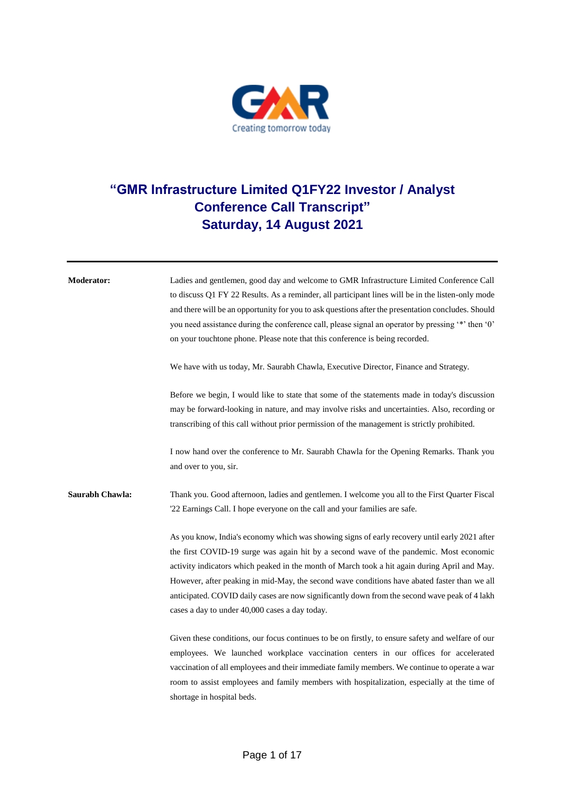

## **"GMR Infrastructure Limited Q1FY22 Investor / Analyst Conference Call Transcript" Saturday, 14 August 2021**

| <b>Moderator:</b> | Ladies and gentlemen, good day and welcome to GMR Infrastructure Limited Conference Call           |
|-------------------|----------------------------------------------------------------------------------------------------|
|                   | to discuss Q1 FY 22 Results. As a reminder, all participant lines will be in the listen-only mode  |
|                   | and there will be an opportunity for you to ask questions after the presentation concludes. Should |
|                   | you need assistance during the conference call, please signal an operator by pressing '*' then '0' |
|                   | on your touchtone phone. Please note that this conference is being recorded.                       |
|                   | We have with us today, Mr. Saurabh Chawla, Executive Director, Finance and Strategy.               |
|                   | Before we begin, I would like to state that some of the statements made in today's discussion      |
|                   | may be forward-looking in nature, and may involve risks and uncertainties. Also, recording or      |
|                   | transcribing of this call without prior permission of the management is strictly prohibited.       |
|                   | I now hand over the conference to Mr. Saurabh Chawla for the Opening Remarks. Thank you            |
|                   | and over to you, sir.                                                                              |
| Saurabh Chawla:   | Thank you. Good afternoon, ladies and gentlemen. I welcome you all to the First Quarter Fiscal     |
|                   | '22 Earnings Call. I hope everyone on the call and your families are safe.                         |
|                   | As you know, India's economy which was showing signs of early recovery until early 2021 after      |
|                   | the first COVID-19 surge was again hit by a second wave of the pandemic. Most economic             |
|                   | activity indicators which peaked in the month of March took a hit again during April and May.      |
|                   | However, after peaking in mid-May, the second wave conditions have abated faster than we all       |
|                   | anticipated. COVID daily cases are now significantly down from the second wave peak of 4 lakh      |
|                   | cases a day to under 40,000 cases a day today.                                                     |
|                   | Given these conditions, our focus continues to be on firstly, to ensure safety and welfare of our  |
|                   | employees. We launched workplace vaccination centers in our offices for accelerated                |
|                   | vaccination of all employees and their immediate family members. We continue to operate a war      |
|                   | room to assist employees and family members with hospitalization, especially at the time of        |
|                   | shortage in hospital beds.                                                                         |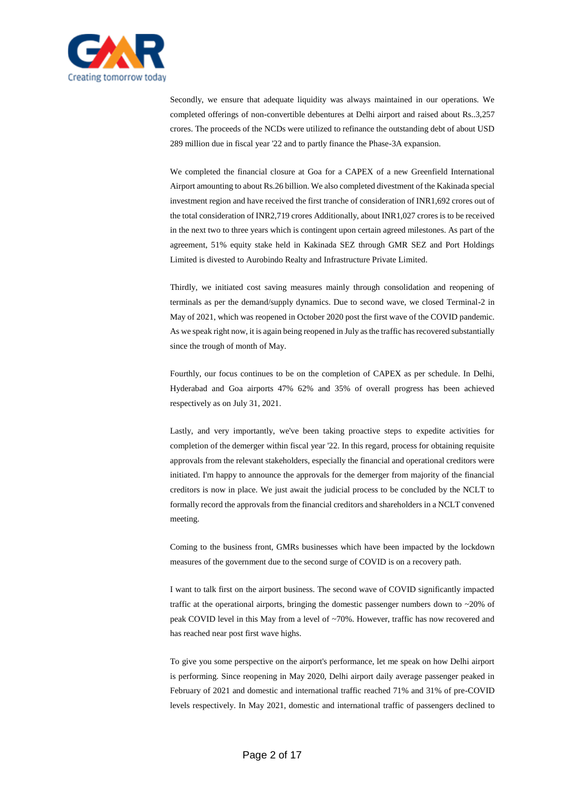

Secondly, we ensure that adequate liquidity was always maintained in our operations. We completed offerings of non-convertible debentures at Delhi airport and raised about Rs..3,257 crores. The proceeds of the NCDs were utilized to refinance the outstanding debt of about USD 289 million due in fiscal year '22 and to partly finance the Phase-3A expansion.

We completed the financial closure at Goa for a CAPEX of a new Greenfield International Airport amounting to about Rs.26 billion. We also completed divestment of the Kakinada special investment region and have received the first tranche of consideration of INR1,692 crores out of the total consideration of INR2,719 crores Additionally, about INR1,027 crores is to be received in the next two to three years which is contingent upon certain agreed milestones. As part of the agreement, 51% equity stake held in Kakinada SEZ through GMR SEZ and Port Holdings Limited is divested to Aurobindo Realty and Infrastructure Private Limited.

Thirdly, we initiated cost saving measures mainly through consolidation and reopening of terminals as per the demand/supply dynamics. Due to second wave, we closed Terminal-2 in May of 2021, which was reopened in October 2020 post the first wave of the COVID pandemic. As we speak right now, it is again being reopened in July as the traffic has recovered substantially since the trough of month of May.

Fourthly, our focus continues to be on the completion of CAPEX as per schedule. In Delhi, Hyderabad and Goa airports 47% 62% and 35% of overall progress has been achieved respectively as on July 31, 2021.

Lastly, and very importantly, we've been taking proactive steps to expedite activities for completion of the demerger within fiscal year '22. In this regard, process for obtaining requisite approvals from the relevant stakeholders, especially the financial and operational creditors were initiated. I'm happy to announce the approvals for the demerger from majority of the financial creditors is now in place. We just await the judicial process to be concluded by the NCLT to formally record the approvals from the financial creditors and shareholders in a NCLT convened meeting.

Coming to the business front, GMRs businesses which have been impacted by the lockdown measures of the government due to the second surge of COVID is on a recovery path.

I want to talk first on the airport business. The second wave of COVID significantly impacted traffic at the operational airports, bringing the domestic passenger numbers down to ~20% of peak COVID level in this May from a level of ~70%. However, traffic has now recovered and has reached near post first wave highs.

To give you some perspective on the airport's performance, let me speak on how Delhi airport is performing. Since reopening in May 2020, Delhi airport daily average passenger peaked in February of 2021 and domestic and international traffic reached 71% and 31% of pre-COVID levels respectively. In May 2021, domestic and international traffic of passengers declined to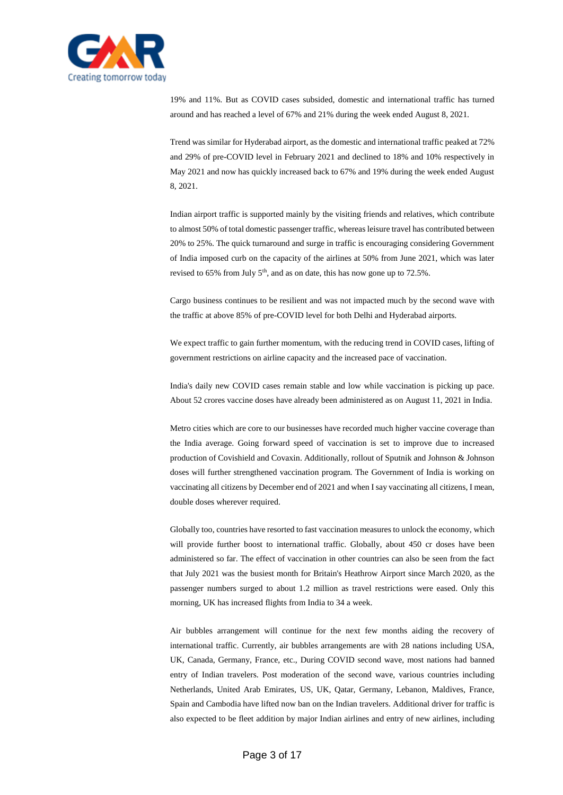

19% and 11%. But as COVID cases subsided, domestic and international traffic has turned around and has reached a level of 67% and 21% during the week ended August 8, 2021.

Trend was similar for Hyderabad airport, as the domestic and international traffic peaked at 72% and 29% of pre-COVID level in February 2021 and declined to 18% and 10% respectively in May 2021 and now has quickly increased back to 67% and 19% during the week ended August 8, 2021.

Indian airport traffic is supported mainly by the visiting friends and relatives, which contribute to almost 50% of total domestic passenger traffic, whereas leisure travel has contributed between 20% to 25%. The quick turnaround and surge in traffic is encouraging considering Government of India imposed curb on the capacity of the airlines at 50% from June 2021, which was later revised to  $65\%$  from July  $5<sup>th</sup>$ , and as on date, this has now gone up to 72.5%.

Cargo business continues to be resilient and was not impacted much by the second wave with the traffic at above 85% of pre-COVID level for both Delhi and Hyderabad airports.

We expect traffic to gain further momentum, with the reducing trend in COVID cases, lifting of government restrictions on airline capacity and the increased pace of vaccination.

India's daily new COVID cases remain stable and low while vaccination is picking up pace. About 52 crores vaccine doses have already been administered as on August 11, 2021 in India.

Metro cities which are core to our businesses have recorded much higher vaccine coverage than the India average. Going forward speed of vaccination is set to improve due to increased production of Covishield and Covaxin. Additionally, rollout of Sputnik and Johnson & Johnson doses will further strengthened vaccination program. The Government of India is working on vaccinating all citizens by December end of 2021 and when I say vaccinating all citizens, I mean, double doses wherever required.

Globally too, countries have resorted to fast vaccination measures to unlock the economy, which will provide further boost to international traffic. Globally, about 450 cr doses have been administered so far. The effect of vaccination in other countries can also be seen from the fact that July 2021 was the busiest month for Britain's Heathrow Airport since March 2020, as the passenger numbers surged to about 1.2 million as travel restrictions were eased. Only this morning, UK has increased flights from India to 34 a week.

Air bubbles arrangement will continue for the next few months aiding the recovery of international traffic. Currently, air bubbles arrangements are with 28 nations including USA, UK, Canada, Germany, France, etc., During COVID second wave, most nations had banned entry of Indian travelers. Post moderation of the second wave, various countries including Netherlands, United Arab Emirates, US, UK, Qatar, Germany, Lebanon, Maldives, France, Spain and Cambodia have lifted now ban on the Indian travelers. Additional driver for traffic is also expected to be fleet addition by major Indian airlines and entry of new airlines, including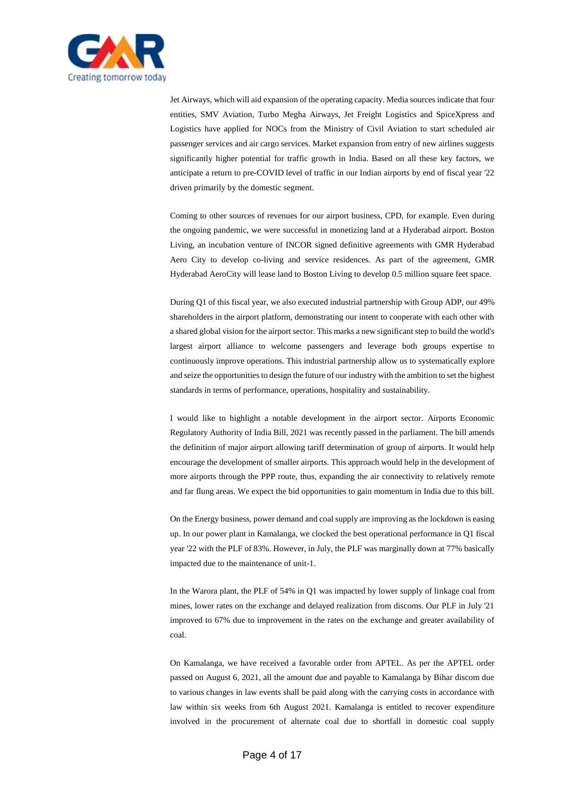

Jet Airways, which will aid expansion of the operating capacity. Media sources indicate that four entities, SMV Aviation, Turbo Megha Airways, Jet Freight Logistics and SpiceXpress and Logistics have applied for NOCs from the Ministry of Civil Aviation to start scheduled air passenger services and air cargo services. Market expansion from entry of new airlines suggests significantly higher potential for traffic growth in India. Based on all these key factors, we anticipate a return to pre-COVID level of traffic in our Indian airports by end of fiscal year '22 driven primarily by the domestic segment.

Coming to other sources of revenues for our airport business, CPD, for example. Even during the ongoing pandemic, we were successful in monetizing land at a Hyderabad airport. Boston Living, an incubation venture of INCOR signed definitive agreements with GMR Hyderabad Aero City to develop co-living and service residences. As part of the agreement, GMR Hyderabad AeroCity will lease land to Boston Living to develop 0.5 million square feet space.

During Q1 of this fiscal year, we also executed industrial partnership with Group ADP, our 49% shareholders in the airport platform, demonstrating our intent to cooperate with each other with a shared global vision for the airport sector. This marks a new significant step to build the world's largest airport alliance to welcome passengers and leverage both groups expertise to continuously improve operations. This industrial partnership allow us to systematically explore and seize the opportunities to design the future of our industry with the ambition to set the highest standards in terms of performance, operations, hospitality and sustainability.

I would like to highlight a notable development in the airport sector. Airports Economic Regulatory Authority of India Bill, 2021 was recently passed in the parliament. The bill amends the definition of major airport allowing tariff determination of group of airports. It would help encourage the development of smaller airports. This approach would help in the development of more airports through the PPP route, thus, expanding the air connectivity to relatively remote and far flung areas. We expect the bid opportunities to gain momentum in India due to this bill.

On the Energy business, power demand and coal supply are improving as the lockdown is easing up. In our power plant in Kamalanga, we clocked the best operational performance in Q1 fiscal year '22 with the PLF of 83%. However, in July, the PLF was marginally down at 77% basically impacted due to the maintenance of unit-1.

In the Warora plant, the PLF of 54% in Q1 was impacted by lower supply of linkage coal from mines, lower rates on the exchange and delayed realization from discoms. Our PLF in July '21 improved to 67% due to improvement in the rates on the exchange and greater availability of coal.

On Kamalanga, we have received a favorable order from APTEL. As per the APTEL order passed on August 6, 2021, all the amount due and payable to Kamalanga by Bihar discom due to various changes in law events shall be paid along with the carrying costs in accordance with law within six weeks from 6th August 2021. Kamalanga is entitled to recover expenditure involved in the procurement of alternate coal due to shortfall in domestic coal supply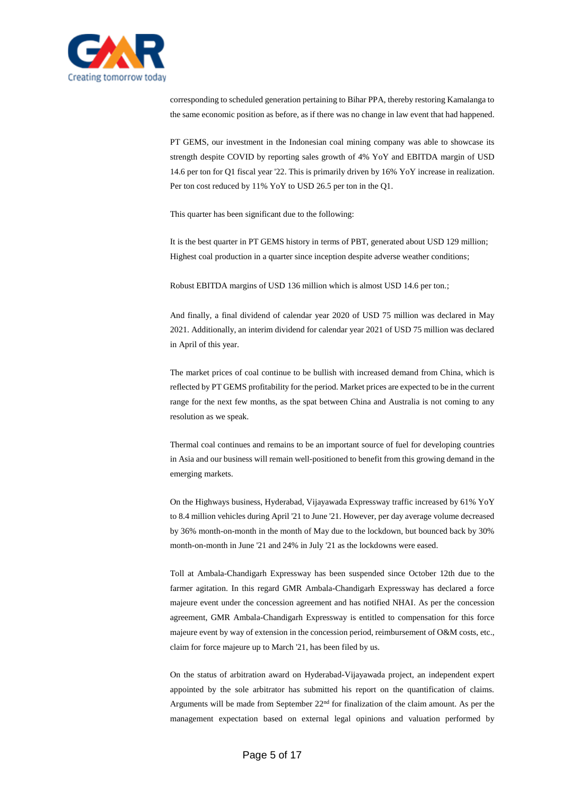

corresponding to scheduled generation pertaining to Bihar PPA, thereby restoring Kamalanga to the same economic position as before, as if there was no change in law event that had happened.

PT GEMS, our investment in the Indonesian coal mining company was able to showcase its strength despite COVID by reporting sales growth of 4% YoY and EBITDA margin of USD 14.6 per ton for Q1 fiscal year '22. This is primarily driven by 16% YoY increase in realization. Per ton cost reduced by 11% YoY to USD 26.5 per ton in the Q1.

This quarter has been significant due to the following:

It is the best quarter in PT GEMS history in terms of PBT, generated about USD 129 million; Highest coal production in a quarter since inception despite adverse weather conditions;

Robust EBITDA margins of USD 136 million which is almost USD 14.6 per ton.;

And finally, a final dividend of calendar year 2020 of USD 75 million was declared in May 2021. Additionally, an interim dividend for calendar year 2021 of USD 75 million was declared in April of this year.

The market prices of coal continue to be bullish with increased demand from China, which is reflected by PT GEMS profitability for the period. Market prices are expected to be in the current range for the next few months, as the spat between China and Australia is not coming to any resolution as we speak.

Thermal coal continues and remains to be an important source of fuel for developing countries in Asia and our business will remain well-positioned to benefit from this growing demand in the emerging markets.

On the Highways business, Hyderabad, Vijayawada Expressway traffic increased by 61% YoY to 8.4 million vehicles during April '21 to June '21. However, per day average volume decreased by 36% month-on-month in the month of May due to the lockdown, but bounced back by 30% month-on-month in June '21 and 24% in July '21 as the lockdowns were eased.

Toll at Ambala-Chandigarh Expressway has been suspended since October 12th due to the farmer agitation. In this regard GMR Ambala-Chandigarh Expressway has declared a force majeure event under the concession agreement and has notified NHAI. As per the concession agreement, GMR Ambala-Chandigarh Expressway is entitled to compensation for this force majeure event by way of extension in the concession period, reimbursement of O&M costs, etc., claim for force majeure up to March '21, has been filed by us.

On the status of arbitration award on Hyderabad-Vijayawada project, an independent expert appointed by the sole arbitrator has submitted his report on the quantification of claims. Arguments will be made from September 22<sup>nd</sup> for finalization of the claim amount. As per the management expectation based on external legal opinions and valuation performed by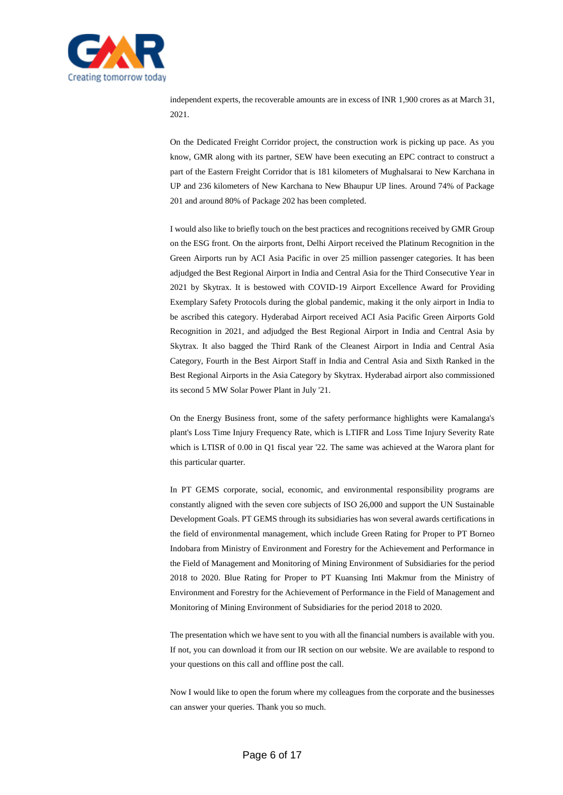

independent experts, the recoverable amounts are in excess of INR 1,900 crores as at March 31, 2021.

On the Dedicated Freight Corridor project, the construction work is picking up pace. As you know, GMR along with its partner, SEW have been executing an EPC contract to construct a part of the Eastern Freight Corridor that is 181 kilometers of Mughalsarai to New Karchana in UP and 236 kilometers of New Karchana to New Bhaupur UP lines. Around 74% of Package 201 and around 80% of Package 202 has been completed.

I would also like to briefly touch on the best practices and recognitions received by GMR Group on the ESG front. On the airports front, Delhi Airport received the Platinum Recognition in the Green Airports run by ACI Asia Pacific in over 25 million passenger categories. It has been adjudged the Best Regional Airport in India and Central Asia for the Third Consecutive Year in 2021 by Skytrax. It is bestowed with COVID-19 Airport Excellence Award for Providing Exemplary Safety Protocols during the global pandemic, making it the only airport in India to be ascribed this category. Hyderabad Airport received ACI Asia Pacific Green Airports Gold Recognition in 2021, and adjudged the Best Regional Airport in India and Central Asia by Skytrax. It also bagged the Third Rank of the Cleanest Airport in India and Central Asia Category, Fourth in the Best Airport Staff in India and Central Asia and Sixth Ranked in the Best Regional Airports in the Asia Category by Skytrax. Hyderabad airport also commissioned its second 5 MW Solar Power Plant in July '21.

On the Energy Business front, some of the safety performance highlights were Kamalanga's plant's Loss Time Injury Frequency Rate, which is LTIFR and Loss Time Injury Severity Rate which is LTISR of 0.00 in Q1 fiscal year '22. The same was achieved at the Warora plant for this particular quarter.

In PT GEMS corporate, social, economic, and environmental responsibility programs are constantly aligned with the seven core subjects of ISO 26,000 and support the UN Sustainable Development Goals. PT GEMS through its subsidiaries has won several awards certifications in the field of environmental management, which include Green Rating for Proper to PT Borneo Indobara from Ministry of Environment and Forestry for the Achievement and Performance in the Field of Management and Monitoring of Mining Environment of Subsidiaries for the period 2018 to 2020. Blue Rating for Proper to PT Kuansing Inti Makmur from the Ministry of Environment and Forestry for the Achievement of Performance in the Field of Management and Monitoring of Mining Environment of Subsidiaries for the period 2018 to 2020.

The presentation which we have sent to you with all the financial numbers is available with you. If not, you can download it from our IR section on our website. We are available to respond to your questions on this call and offline post the call.

Now I would like to open the forum where my colleagues from the corporate and the businesses can answer your queries. Thank you so much.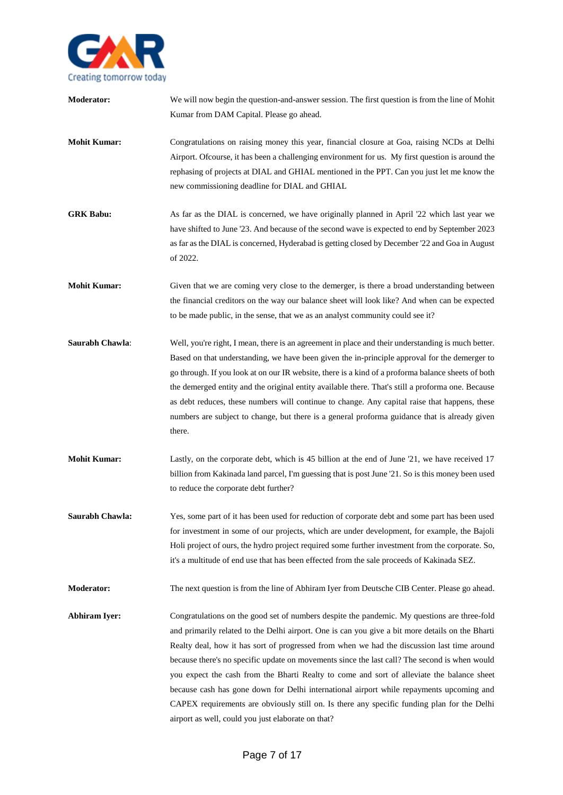

| Moderator:           | We will now begin the question-and-answer session. The first question is from the line of Mohit<br>Kumar from DAM Capital. Please go ahead.                                                                                                                                                                                                                                                                                                                                                                                                                                                                                                                                                                                                     |
|----------------------|-------------------------------------------------------------------------------------------------------------------------------------------------------------------------------------------------------------------------------------------------------------------------------------------------------------------------------------------------------------------------------------------------------------------------------------------------------------------------------------------------------------------------------------------------------------------------------------------------------------------------------------------------------------------------------------------------------------------------------------------------|
| <b>Mohit Kumar:</b>  | Congratulations on raising money this year, financial closure at Goa, raising NCDs at Delhi<br>Airport. Of course, it has been a challenging environment for us. My first question is around the<br>rephasing of projects at DIAL and GHIAL mentioned in the PPT. Can you just let me know the<br>new commissioning deadline for DIAL and GHIAL                                                                                                                                                                                                                                                                                                                                                                                                 |
| <b>GRK Babu:</b>     | As far as the DIAL is concerned, we have originally planned in April '22 which last year we<br>have shifted to June '23. And because of the second wave is expected to end by September 2023<br>as far as the DIAL is concerned, Hyderabad is getting closed by December '22 and Goa in August<br>of 2022.                                                                                                                                                                                                                                                                                                                                                                                                                                      |
| <b>Mohit Kumar:</b>  | Given that we are coming very close to the demerger, is there a broad understanding between<br>the financial creditors on the way our balance sheet will look like? And when can be expected<br>to be made public, in the sense, that we as an analyst community could see it?                                                                                                                                                                                                                                                                                                                                                                                                                                                                  |
| Saurabh Chawla:      | Well, you're right, I mean, there is an agreement in place and their understanding is much better.<br>Based on that understanding, we have been given the in-principle approval for the demerger to<br>go through. If you look at on our IR website, there is a kind of a proforma balance sheets of both<br>the demerged entity and the original entity available there. That's still a proforma one. Because<br>as debt reduces, these numbers will continue to change. Any capital raise that happens, these<br>numbers are subject to change, but there is a general proforma guidance that is already given<br>there.                                                                                                                      |
| <b>Mohit Kumar:</b>  | Lastly, on the corporate debt, which is 45 billion at the end of June '21, we have received 17<br>billion from Kakinada land parcel, I'm guessing that is post June '21. So is this money been used<br>to reduce the corporate debt further?                                                                                                                                                                                                                                                                                                                                                                                                                                                                                                    |
| Saurabh Chawla:      | Yes, some part of it has been used for reduction of corporate debt and some part has been used<br>for investment in some of our projects, which are under development, for example, the Bajoli<br>Holi project of ours, the hydro project required some further investment from the corporate. So,<br>it's a multitude of end use that has been effected from the sale proceeds of Kakinada SEZ.                                                                                                                                                                                                                                                                                                                                                |
| <b>Moderator:</b>    | The next question is from the line of Abhiram Iyer from Deutsche CIB Center. Please go ahead.                                                                                                                                                                                                                                                                                                                                                                                                                                                                                                                                                                                                                                                   |
| <b>Abhiram Iyer:</b> | Congratulations on the good set of numbers despite the pandemic. My questions are three-fold<br>and primarily related to the Delhi airport. One is can you give a bit more details on the Bharti<br>Realty deal, how it has sort of progressed from when we had the discussion last time around<br>because there's no specific update on movements since the last call? The second is when would<br>you expect the cash from the Bharti Realty to come and sort of alleviate the balance sheet<br>because cash has gone down for Delhi international airport while repayments upcoming and<br>CAPEX requirements are obviously still on. Is there any specific funding plan for the Delhi<br>airport as well, could you just elaborate on that? |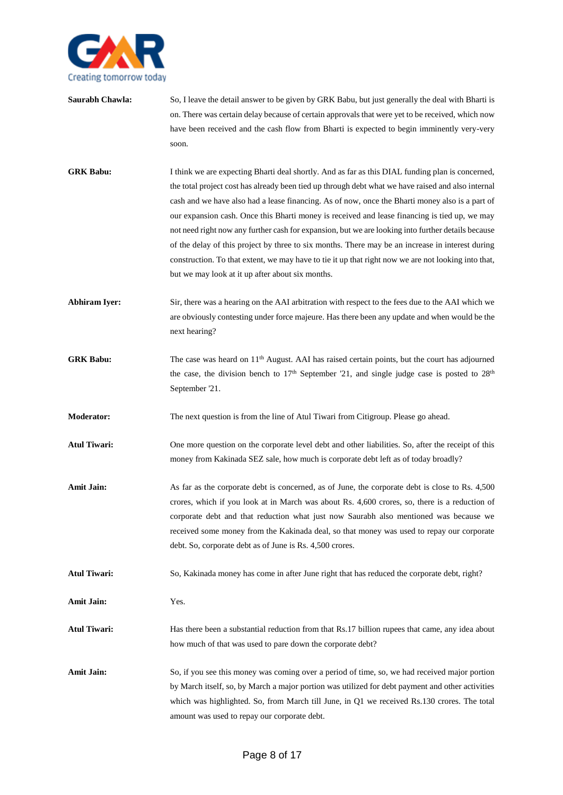

- **Saurabh Chawla:** So, I leave the detail answer to be given by GRK Babu, but just generally the deal with Bharti is on. There was certain delay because of certain approvals that were yet to be received, which now have been received and the cash flow from Bharti is expected to begin imminently very-very soon.
- **GRK Babu:** I think we are expecting Bharti deal shortly. And as far as this DIAL funding plan is concerned, the total project cost has already been tied up through debt what we have raised and also internal cash and we have also had a lease financing. As of now, once the Bharti money also is a part of our expansion cash. Once this Bharti money is received and lease financing is tied up, we may not need right now any further cash for expansion, but we are looking into further details because of the delay of this project by three to six months. There may be an increase in interest during construction. To that extent, we may have to tie it up that right now we are not looking into that, but we may look at it up after about six months.
- Abhiram Iyer: Sir, there was a hearing on the AAI arbitration with respect to the fees due to the AAI which we are obviously contesting under force majeure. Has there been any update and when would be the next hearing?
- **GRK Babu:** The case was heard on 11<sup>th</sup> August. AAI has raised certain points, but the court has adjourned the case, the division bench to  $17<sup>th</sup>$  September '21, and single judge case is posted to  $28<sup>th</sup>$ September '21.
- **Moderator:** The next question is from the line of Atul Tiwari from Citigroup. Please go ahead.
- **Atul Tiwari:** One more question on the corporate level debt and other liabilities. So, after the receipt of this money from Kakinada SEZ sale, how much is corporate debt left as of today broadly?
- Amit Jain: As far as the corporate debt is concerned, as of June, the corporate debt is close to Rs. 4,500 crores, which if you look at in March was about Rs. 4,600 crores, so, there is a reduction of corporate debt and that reduction what just now Saurabh also mentioned was because we received some money from the Kakinada deal, so that money was used to repay our corporate debt. So, corporate debt as of June is Rs. 4,500 crores.
- **Atul Tiwari:** So, Kakinada money has come in after June right that has reduced the corporate debt, right?

**Amit Jain:** Yes.

- Atul Tiwari: Has there been a substantial reduction from that Rs.17 billion rupees that came, any idea about how much of that was used to pare down the corporate debt?
- Amit Jain: So, if you see this money was coming over a period of time, so, we had received major portion by March itself, so, by March a major portion was utilized for debt payment and other activities which was highlighted. So, from March till June, in Q1 we received Rs.130 crores. The total amount was used to repay our corporate debt.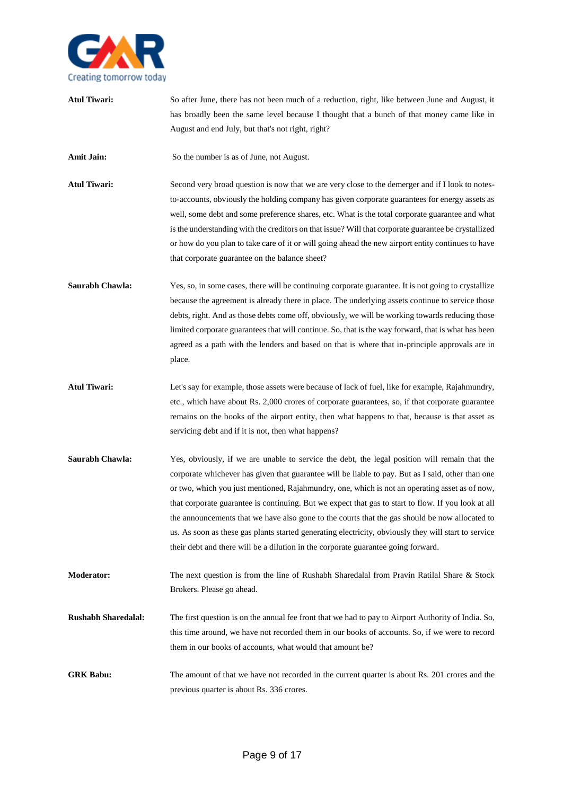

**Atul Tiwari:** So after June, there has not been much of a reduction, right, like between June and August, it has broadly been the same level because I thought that a bunch of that money came like in August and end July, but that's not right, right? **Amit Jain:** So the number is as of June, not August. **Atul Tiwari:** Second very broad question is now that we are very close to the demerger and if I look to notesto-accounts, obviously the holding company has given corporate guarantees for energy assets as well, some debt and some preference shares, etc. What is the total corporate guarantee and what is the understanding with the creditors on that issue? Will that corporate guarantee be crystallized or how do you plan to take care of it or will going ahead the new airport entity continues to have that corporate guarantee on the balance sheet? **Saurabh Chawla:** Yes, so, in some cases, there will be continuing corporate guarantee. It is not going to crystallize because the agreement is already there in place. The underlying assets continue to service those debts, right. And as those debts come off, obviously, we will be working towards reducing those limited corporate guarantees that will continue. So, that is the way forward, that is what has been agreed as a path with the lenders and based on that is where that in-principle approvals are in place. **Atul Tiwari:** Let's say for example, those assets were because of lack of fuel, like for example, Rajahmundry, etc., which have about Rs. 2,000 crores of corporate guarantees, so, if that corporate guarantee remains on the books of the airport entity, then what happens to that, because is that asset as servicing debt and if it is not, then what happens? **Saurabh Chawla:** Yes, obviously, if we are unable to service the debt, the legal position will remain that the corporate whichever has given that guarantee will be liable to pay. But as I said, other than one or two, which you just mentioned, Rajahmundry, one, which is not an operating asset as of now, that corporate guarantee is continuing. But we expect that gas to start to flow. If you look at all the announcements that we have also gone to the courts that the gas should be now allocated to us. As soon as these gas plants started generating electricity, obviously they will start to service their debt and there will be a dilution in the corporate guarantee going forward. **Moderator:** The next question is from the line of Rushabh Sharedalal from Pravin Ratilal Share & Stock Brokers. Please go ahead. **Rushabh Sharedalal:** The first question is on the annual fee front that we had to pay to Airport Authority of India. So, this time around, we have not recorded them in our books of accounts. So, if we were to record them in our books of accounts, what would that amount be? **GRK Babu:** The amount of that we have not recorded in the current quarter is about Rs. 201 crores and the previous quarter is about Rs. 336 crores.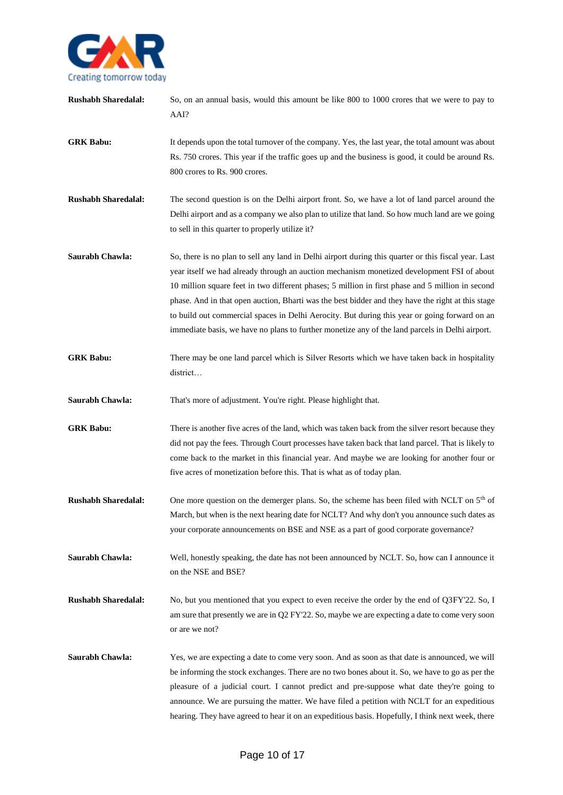

| <b>Rushabh Sharedalal:</b> | So, on an annual basis, would this amount be like 800 to 1000 crores that we were to pay to<br>AAI?                                                                                                                                                                                                                                                                                                                                                                                                                                                                                                             |
|----------------------------|-----------------------------------------------------------------------------------------------------------------------------------------------------------------------------------------------------------------------------------------------------------------------------------------------------------------------------------------------------------------------------------------------------------------------------------------------------------------------------------------------------------------------------------------------------------------------------------------------------------------|
| <b>GRK Babu:</b>           | It depends upon the total turnover of the company. Yes, the last year, the total amount was about<br>Rs. 750 crores. This year if the traffic goes up and the business is good, it could be around Rs.<br>800 crores to Rs. 900 crores.                                                                                                                                                                                                                                                                                                                                                                         |
| <b>Rushabh Sharedalal:</b> | The second question is on the Delhi airport front. So, we have a lot of land parcel around the<br>Delhi airport and as a company we also plan to utilize that land. So how much land are we going<br>to sell in this quarter to properly utilize it?                                                                                                                                                                                                                                                                                                                                                            |
| Saurabh Chawla:            | So, there is no plan to sell any land in Delhi airport during this quarter or this fiscal year. Last<br>year itself we had already through an auction mechanism monetized development FSI of about<br>10 million square feet in two different phases; 5 million in first phase and 5 million in second<br>phase. And in that open auction, Bharti was the best bidder and they have the right at this stage<br>to build out commercial spaces in Delhi Aerocity. But during this year or going forward on an<br>immediate basis, we have no plans to further monetize any of the land parcels in Delhi airport. |
| <b>GRK Babu:</b>           | There may be one land parcel which is Silver Resorts which we have taken back in hospitality<br>district                                                                                                                                                                                                                                                                                                                                                                                                                                                                                                        |
| Saurabh Chawla:            | That's more of adjustment. You're right. Please highlight that.                                                                                                                                                                                                                                                                                                                                                                                                                                                                                                                                                 |
| <b>GRK Babu:</b>           | There is another five acres of the land, which was taken back from the silver resort because they<br>did not pay the fees. Through Court processes have taken back that land parcel. That is likely to<br>come back to the market in this financial year. And maybe we are looking for another four or<br>five acres of monetization before this. That is what as of today plan.                                                                                                                                                                                                                                |
| <b>Rushabh Sharedalal:</b> | One more question on the demerger plans. So, the scheme has been filed with NCLT on 5 <sup>th</sup> of<br>March, but when is the next hearing date for NCLT? And why don't you announce such dates as<br>your corporate announcements on BSE and NSE as a part of good corporate governance?                                                                                                                                                                                                                                                                                                                    |
| Saurabh Chawla:            | Well, honestly speaking, the date has not been announced by NCLT. So, how can I announce it<br>on the NSE and BSE?                                                                                                                                                                                                                                                                                                                                                                                                                                                                                              |
| <b>Rushabh Sharedalal:</b> | No, but you mentioned that you expect to even receive the order by the end of Q3FY'22. So, I<br>am sure that presently we are in Q2 FY'22. So, maybe we are expecting a date to come very soon<br>or are we not?                                                                                                                                                                                                                                                                                                                                                                                                |
| Saurabh Chawla:            | Yes, we are expecting a date to come very soon. And as soon as that date is announced, we will<br>be informing the stock exchanges. There are no two bones about it. So, we have to go as per the<br>pleasure of a judicial court. I cannot predict and pre-suppose what date they're going to<br>announce. We are pursuing the matter. We have filed a petition with NCLT for an expeditious<br>hearing. They have agreed to hear it on an expeditious basis. Hopefully, I think next week, there                                                                                                              |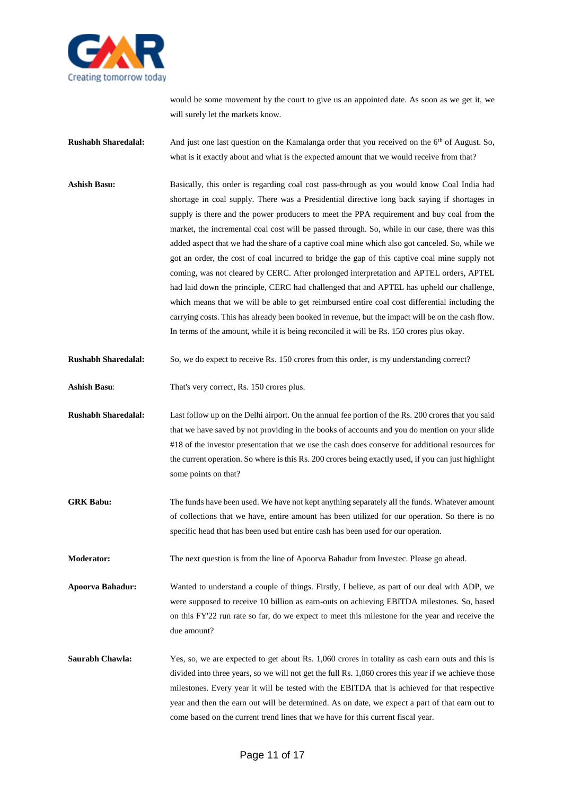

would be some movement by the court to give us an appointed date. As soon as we get it, we will surely let the markets know.

- **Rushabh Sharedalal:** And just one last question on the Kamalanga order that you received on the 6<sup>th</sup> of August. So, what is it exactly about and what is the expected amount that we would receive from that?
- **Ashish Basu:** Basically, this order is regarding coal cost pass-through as you would know Coal India had shortage in coal supply. There was a Presidential directive long back saying if shortages in supply is there and the power producers to meet the PPA requirement and buy coal from the market, the incremental coal cost will be passed through. So, while in our case, there was this added aspect that we had the share of a captive coal mine which also got canceled. So, while we got an order, the cost of coal incurred to bridge the gap of this captive coal mine supply not coming, was not cleared by CERC. After prolonged interpretation and APTEL orders, APTEL had laid down the principle, CERC had challenged that and APTEL has upheld our challenge, which means that we will be able to get reimbursed entire coal cost differential including the carrying costs. This has already been booked in revenue, but the impact will be on the cash flow. In terms of the amount, while it is being reconciled it will be Rs. 150 crores plus okay.
- **Rushabh Sharedalal:** So, we do expect to receive Rs. 150 crores from this order, is my understanding correct?
- **Ashish Basu**: That's very correct, Rs. 150 crores plus.
- **Rushabh Sharedalal:** Last follow up on the Delhi airport. On the annual fee portion of the Rs. 200 crores that you said that we have saved by not providing in the books of accounts and you do mention on your slide #18 of the investor presentation that we use the cash does conserve for additional resources for the current operation. So where is this Rs. 200 crores being exactly used, if you can just highlight some points on that?
- **GRK Babu:** The funds have been used. We have not kept anything separately all the funds. Whatever amount of collections that we have, entire amount has been utilized for our operation. So there is no specific head that has been used but entire cash has been used for our operation.
- **Moderator:** The next question is from the line of Apoorva Bahadur from Investec. Please go ahead.
- **Apoorva Bahadur:** Wanted to understand a couple of things. Firstly, I believe, as part of our deal with ADP, we were supposed to receive 10 billion as earn-outs on achieving EBITDA milestones. So, based on this FY'22 run rate so far, do we expect to meet this milestone for the year and receive the due amount?
- **Saurabh Chawla:** Yes, so, we are expected to get about Rs. 1,060 crores in totality as cash earn outs and this is divided into three years, so we will not get the full Rs. 1,060 crores this year if we achieve those milestones. Every year it will be tested with the EBITDA that is achieved for that respective year and then the earn out will be determined. As on date, we expect a part of that earn out to come based on the current trend lines that we have for this current fiscal year.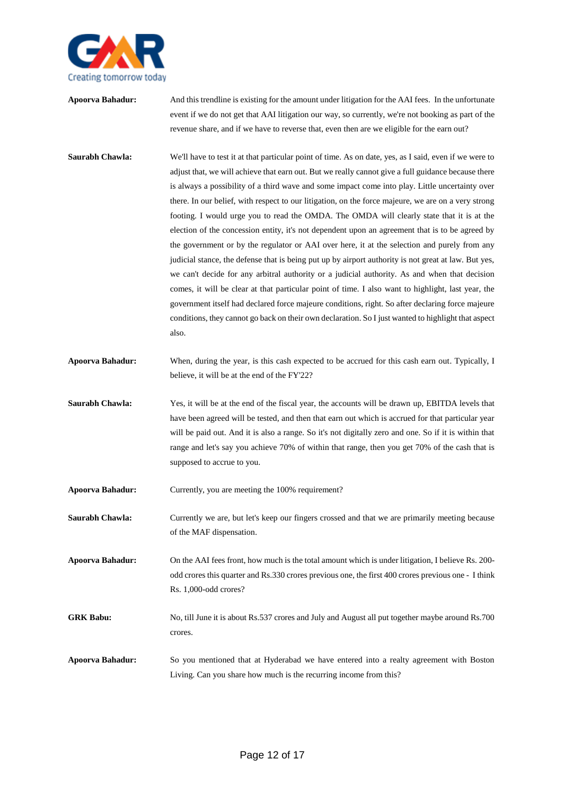

| Apoorva Bahadur:        | And this trendline is existing for the amount under litigation for the AAI fees. In the unfortunate<br>event if we do not get that AAI litigation our way, so currently, we're not booking as part of the<br>revenue share, and if we have to reverse that, even then are we eligible for the earn out?                                                                                                                                                                                                                                                                                                                                                                                                                                                                                                                                                                                                                                                                                                                                                                                                                                                                                                                                                    |
|-------------------------|------------------------------------------------------------------------------------------------------------------------------------------------------------------------------------------------------------------------------------------------------------------------------------------------------------------------------------------------------------------------------------------------------------------------------------------------------------------------------------------------------------------------------------------------------------------------------------------------------------------------------------------------------------------------------------------------------------------------------------------------------------------------------------------------------------------------------------------------------------------------------------------------------------------------------------------------------------------------------------------------------------------------------------------------------------------------------------------------------------------------------------------------------------------------------------------------------------------------------------------------------------|
| Saurabh Chawla:         | We'll have to test it at that particular point of time. As on date, yes, as I said, even if we were to<br>adjust that, we will achieve that earn out. But we really cannot give a full guidance because there<br>is always a possibility of a third wave and some impact come into play. Little uncertainty over<br>there. In our belief, with respect to our litigation, on the force majeure, we are on a very strong<br>footing. I would urge you to read the OMDA. The OMDA will clearly state that it is at the<br>election of the concession entity, it's not dependent upon an agreement that is to be agreed by<br>the government or by the regulator or AAI over here, it at the selection and purely from any<br>judicial stance, the defense that is being put up by airport authority is not great at law. But yes,<br>we can't decide for any arbitral authority or a judicial authority. As and when that decision<br>comes, it will be clear at that particular point of time. I also want to highlight, last year, the<br>government itself had declared force majeure conditions, right. So after declaring force majeure<br>conditions, they cannot go back on their own declaration. So I just wanted to highlight that aspect<br>also. |
| Apoorva Bahadur:        | When, during the year, is this cash expected to be accrued for this cash earn out. Typically, I<br>believe, it will be at the end of the FY'22?                                                                                                                                                                                                                                                                                                                                                                                                                                                                                                                                                                                                                                                                                                                                                                                                                                                                                                                                                                                                                                                                                                            |
| Saurabh Chawla:         | Yes, it will be at the end of the fiscal year, the accounts will be drawn up, EBITDA levels that<br>have been agreed will be tested, and then that earn out which is accrued for that particular year<br>will be paid out. And it is also a range. So it's not digitally zero and one. So if it is within that<br>range and let's say you achieve 70% of within that range, then you get 70% of the cash that is<br>supposed to accrue to you.                                                                                                                                                                                                                                                                                                                                                                                                                                                                                                                                                                                                                                                                                                                                                                                                             |
| Apoorva Bahadur:        | Currently, you are meeting the 100% requirement?                                                                                                                                                                                                                                                                                                                                                                                                                                                                                                                                                                                                                                                                                                                                                                                                                                                                                                                                                                                                                                                                                                                                                                                                           |
| Saurabh Chawla:         | Currently we are, but let's keep our fingers crossed and that we are primarily meeting because<br>of the MAF dispensation.                                                                                                                                                                                                                                                                                                                                                                                                                                                                                                                                                                                                                                                                                                                                                                                                                                                                                                                                                                                                                                                                                                                                 |
| <b>Apoorva Bahadur:</b> | On the AAI fees front, how much is the total amount which is under litigation, I believe Rs. 200-<br>odd crores this quarter and Rs.330 crores previous one, the first 400 crores previous one - I think<br>Rs. 1,000-odd crores?                                                                                                                                                                                                                                                                                                                                                                                                                                                                                                                                                                                                                                                                                                                                                                                                                                                                                                                                                                                                                          |
| <b>GRK Babu:</b>        | No, till June it is about Rs.537 crores and July and August all put together maybe around Rs.700<br>crores.                                                                                                                                                                                                                                                                                                                                                                                                                                                                                                                                                                                                                                                                                                                                                                                                                                                                                                                                                                                                                                                                                                                                                |
| Apoorva Bahadur:        | So you mentioned that at Hyderabad we have entered into a realty agreement with Boston<br>Living. Can you share how much is the recurring income from this?                                                                                                                                                                                                                                                                                                                                                                                                                                                                                                                                                                                                                                                                                                                                                                                                                                                                                                                                                                                                                                                                                                |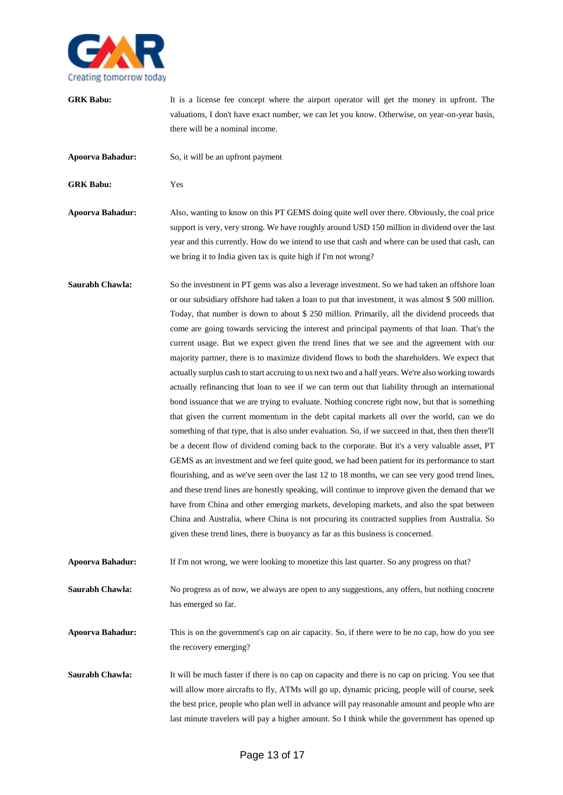

- **GRK Babu:** It is a license fee concept where the airport operator will get the money in upfront. The valuations, I don't have exact number, we can let you know. Otherwise, on year-on-year basis, there will be a nominal income.
- **Apoorva Bahadur:** So, it will be an upfront payment

**GRK Babu:** Yes

**Apoorva Bahadur:** Also, wanting to know on this PT GEMS doing quite well over there. Obviously, the coal price support is very, very strong. We have roughly around USD 150 million in dividend over the last year and this currently. How do we intend to use that cash and where can be used that cash, can we bring it to India given tax is quite high if I'm not wrong?

**Saurabh Chawla:** So the investment in PT gems was also a leverage investment. So we had taken an offshore loan or our subsidiary offshore had taken a loan to put that investment, it was almost \$ 500 million. Today, that number is down to about \$ 250 million. Primarily, all the dividend proceeds that come are going towards servicing the interest and principal payments of that loan. That's the current usage. But we expect given the trend lines that we see and the agreement with our majority partner, there is to maximize dividend flows to both the shareholders. We expect that actually surplus cash to start accruing to us next two and a half years. We're also working towards actually refinancing that loan to see if we can term out that liability through an international bond issuance that we are trying to evaluate. Nothing concrete right now, but that is something that given the current momentum in the debt capital markets all over the world, can we do something of that type, that is also under evaluation. So, if we succeed in that, then then there'll be a decent flow of dividend coming back to the corporate. But it's a very valuable asset, PT GEMS as an investment and we feel quite good, we had been patient for its performance to start flourishing, and as we've seen over the last 12 to 18 months, we can see very good trend lines, and these trend lines are honestly speaking, will continue to improve given the demand that we have from China and other emerging markets, developing markets, and also the spat between China and Australia, where China is not procuring its contracted supplies from Australia. So given these trend lines, there is buoyancy as far as this business is concerned.

**Apoorva Bahadur:** If I'm not wrong, we were looking to monetize this last quarter. So any progress on that?

**Saurabh Chawla:** No progress as of now, we always are open to any suggestions, any offers, but nothing concrete has emerged so far.

**Apoorva Bahadur:** This is on the government's cap on air capacity. So, if there were to be no cap, how do you see the recovery emerging?

**Saurabh Chawla:** It will be much faster if there is no cap on capacity and there is no cap on pricing. You see that will allow more aircrafts to fly, ATMs will go up, dynamic pricing, people will of course, seek the best price, people who plan well in advance will pay reasonable amount and people who are last minute travelers will pay a higher amount. So I think while the government has opened up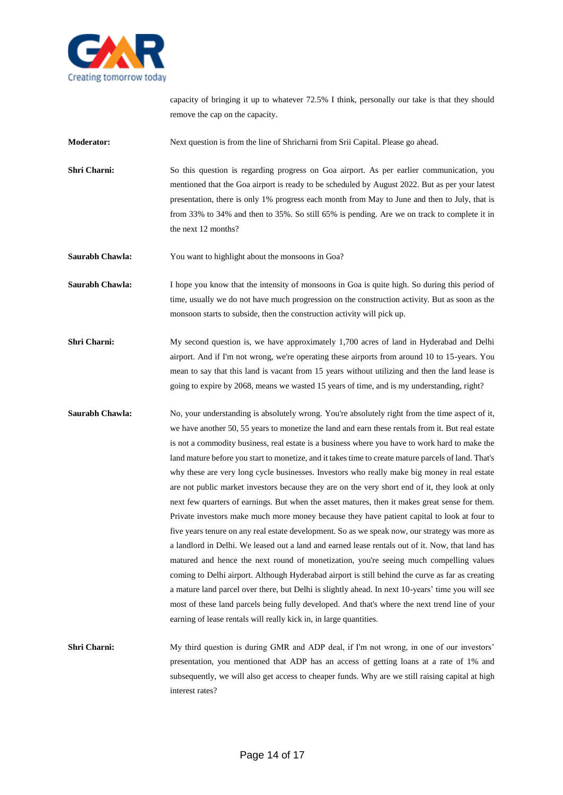

capacity of bringing it up to whatever 72.5% I think, personally our take is that they should remove the cap on the capacity.

**Moderator:** Next question is from the line of Shricharni from Srii Capital. Please go ahead.

**Shri Charni:** So this question is regarding progress on Goa airport. As per earlier communication, you mentioned that the Goa airport is ready to be scheduled by August 2022. But as per your latest presentation, there is only 1% progress each month from May to June and then to July, that is from 33% to 34% and then to 35%. So still 65% is pending. Are we on track to complete it in the next 12 months?

**Saurabh Chawla:** You want to highlight about the monsoons in Goa?

**Saurabh Chawla:** I hope you know that the intensity of monsoons in Goa is quite high. So during this period of time, usually we do not have much progression on the construction activity. But as soon as the monsoon starts to subside, then the construction activity will pick up.

**Shri Charni:** My second question is, we have approximately 1,700 acres of land in Hyderabad and Delhi airport. And if I'm not wrong, we're operating these airports from around 10 to 15-years. You mean to say that this land is vacant from 15 years without utilizing and then the land lease is going to expire by 2068, means we wasted 15 years of time, and is my understanding, right?

**Saurabh Chawla:** No, your understanding is absolutely wrong. You're absolutely right from the time aspect of it, we have another 50, 55 years to monetize the land and earn these rentals from it. But real estate is not a commodity business, real estate is a business where you have to work hard to make the land mature before you start to monetize, and it takes time to create mature parcels of land. That's why these are very long cycle businesses. Investors who really make big money in real estate are not public market investors because they are on the very short end of it, they look at only next few quarters of earnings. But when the asset matures, then it makes great sense for them. Private investors make much more money because they have patient capital to look at four to five years tenure on any real estate development. So as we speak now, our strategy was more as a landlord in Delhi. We leased out a land and earned lease rentals out of it. Now, that land has matured and hence the next round of monetization, you're seeing much compelling values coming to Delhi airport. Although Hyderabad airport is still behind the curve as far as creating a mature land parcel over there, but Delhi is slightly ahead. In next 10-years' time you will see most of these land parcels being fully developed. And that's where the next trend line of your earning of lease rentals will really kick in, in large quantities.

**Shri Charni:** My third question is during GMR and ADP deal, if I'm not wrong, in one of our investors' presentation, you mentioned that ADP has an access of getting loans at a rate of 1% and subsequently, we will also get access to cheaper funds. Why are we still raising capital at high interest rates?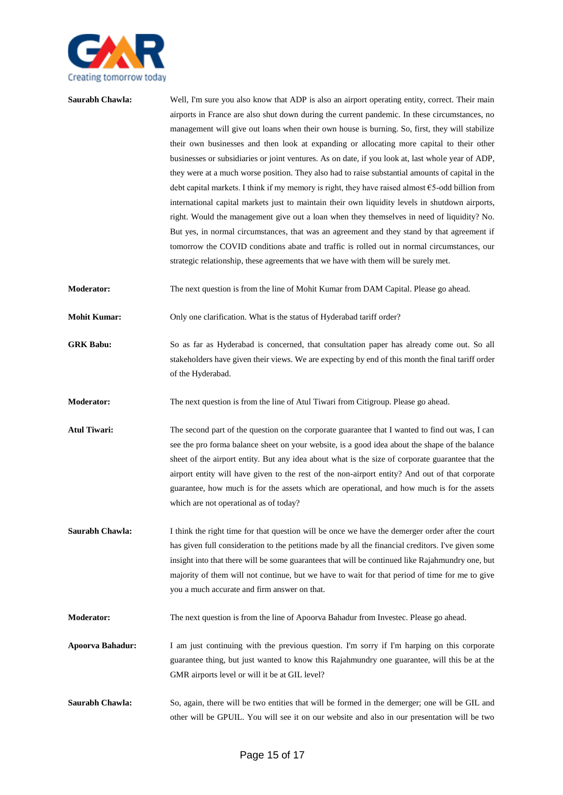

| Saurabh Chawla:         | Well, I'm sure you also know that ADP is also an airport operating entity, correct. Their main<br>airports in France are also shut down during the current pandemic. In these circumstances, no<br>management will give out loans when their own house is burning. So, first, they will stabilize<br>their own businesses and then look at expanding or allocating more capital to their other<br>businesses or subsidiaries or joint ventures. As on date, if you look at, last whole year of ADP,<br>they were at a much worse position. They also had to raise substantial amounts of capital in the<br>debt capital markets. I think if my memory is right, they have raised almost $65$ -odd billion from<br>international capital markets just to maintain their own liquidity levels in shutdown airports,<br>right. Would the management give out a loan when they themselves in need of liquidity? No.<br>But yes, in normal circumstances, that was an agreement and they stand by that agreement if<br>tomorrow the COVID conditions abate and traffic is rolled out in normal circumstances, our<br>strategic relationship, these agreements that we have with them will be surely met. |
|-------------------------|-----------------------------------------------------------------------------------------------------------------------------------------------------------------------------------------------------------------------------------------------------------------------------------------------------------------------------------------------------------------------------------------------------------------------------------------------------------------------------------------------------------------------------------------------------------------------------------------------------------------------------------------------------------------------------------------------------------------------------------------------------------------------------------------------------------------------------------------------------------------------------------------------------------------------------------------------------------------------------------------------------------------------------------------------------------------------------------------------------------------------------------------------------------------------------------------------------|
| <b>Moderator:</b>       | The next question is from the line of Mohit Kumar from DAM Capital. Please go ahead.                                                                                                                                                                                                                                                                                                                                                                                                                                                                                                                                                                                                                                                                                                                                                                                                                                                                                                                                                                                                                                                                                                                |
| <b>Mohit Kumar:</b>     | Only one clarification. What is the status of Hyderabad tariff order?                                                                                                                                                                                                                                                                                                                                                                                                                                                                                                                                                                                                                                                                                                                                                                                                                                                                                                                                                                                                                                                                                                                               |
| <b>GRK Babu:</b>        | So as far as Hyderabad is concerned, that consultation paper has already come out. So all<br>stakeholders have given their views. We are expecting by end of this month the final tariff order<br>of the Hyderabad.                                                                                                                                                                                                                                                                                                                                                                                                                                                                                                                                                                                                                                                                                                                                                                                                                                                                                                                                                                                 |
| <b>Moderator:</b>       | The next question is from the line of Atul Tiwari from Citigroup. Please go ahead.                                                                                                                                                                                                                                                                                                                                                                                                                                                                                                                                                                                                                                                                                                                                                                                                                                                                                                                                                                                                                                                                                                                  |
| <b>Atul Tiwari:</b>     | The second part of the question on the corporate guarantee that I wanted to find out was, I can<br>see the pro forma balance sheet on your website, is a good idea about the shape of the balance<br>sheet of the airport entity. But any idea about what is the size of corporate guarantee that the<br>airport entity will have given to the rest of the non-airport entity? And out of that corporate<br>guarantee, how much is for the assets which are operational, and how much is for the assets<br>which are not operational as of today?                                                                                                                                                                                                                                                                                                                                                                                                                                                                                                                                                                                                                                                   |
| Saurabh Chawla:         | I think the right time for that question will be once we have the demerger order after the court<br>has given full consideration to the petitions made by all the financial creditors. I've given some<br>insight into that there will be some guarantees that will be continued like Rajahmundry one, but<br>majority of them will not continue, but we have to wait for that period of time for me to give<br>you a much accurate and firm answer on that.                                                                                                                                                                                                                                                                                                                                                                                                                                                                                                                                                                                                                                                                                                                                        |
| Moderator:              | The next question is from the line of Apoorva Bahadur from Investec. Please go ahead.                                                                                                                                                                                                                                                                                                                                                                                                                                                                                                                                                                                                                                                                                                                                                                                                                                                                                                                                                                                                                                                                                                               |
| <b>Apoorva Bahadur:</b> | I am just continuing with the previous question. I'm sorry if I'm harping on this corporate<br>guarantee thing, but just wanted to know this Rajahmundry one guarantee, will this be at the<br>GMR airports level or will it be at GIL level?                                                                                                                                                                                                                                                                                                                                                                                                                                                                                                                                                                                                                                                                                                                                                                                                                                                                                                                                                       |
| Saurabh Chawla:         | So, again, there will be two entities that will be formed in the demerger; one will be GIL and<br>other will be GPUIL. You will see it on our website and also in our presentation will be two                                                                                                                                                                                                                                                                                                                                                                                                                                                                                                                                                                                                                                                                                                                                                                                                                                                                                                                                                                                                      |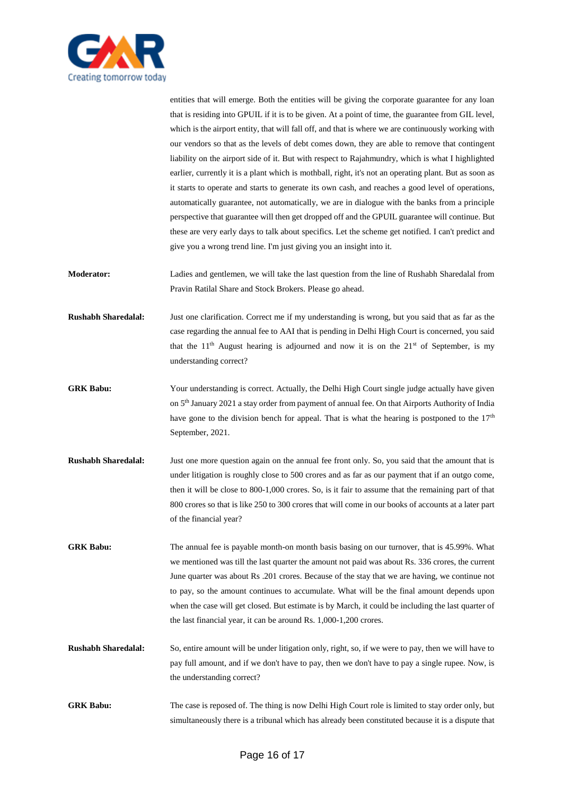

entities that will emerge. Both the entities will be giving the corporate guarantee for any loan that is residing into GPUIL if it is to be given. At a point of time, the guarantee from GIL level, which is the airport entity, that will fall off, and that is where we are continuously working with our vendors so that as the levels of debt comes down, they are able to remove that contingent liability on the airport side of it. But with respect to Rajahmundry, which is what I highlighted earlier, currently it is a plant which is mothball, right, it's not an operating plant. But as soon as it starts to operate and starts to generate its own cash, and reaches a good level of operations, automatically guarantee, not automatically, we are in dialogue with the banks from a principle perspective that guarantee will then get dropped off and the GPUIL guarantee will continue. But these are very early days to talk about specifics. Let the scheme get notified. I can't predict and give you a wrong trend line. I'm just giving you an insight into it.

**Moderator:** Ladies and gentlemen, we will take the last question from the line of Rushabh Sharedalal from Pravin Ratilal Share and Stock Brokers. Please go ahead.

**Rushabh Sharedalal:** Just one clarification. Correct me if my understanding is wrong, but you said that as far as the case regarding the annual fee to AAI that is pending in Delhi High Court is concerned, you said that the  $11<sup>th</sup>$  August hearing is adjourned and now it is on the  $21<sup>st</sup>$  of September, is my understanding correct?

**GRK Babu:** Your understanding is correct. Actually, the Delhi High Court single judge actually have given on 5<sup>th</sup> January 2021 a stay order from payment of annual fee. On that Airports Authority of India have gone to the division bench for appeal. That is what the hearing is postponed to the 17<sup>th</sup> September, 2021.

**Rushabh Sharedalal:** Just one more question again on the annual fee front only. So, you said that the amount that is under litigation is roughly close to 500 crores and as far as our payment that if an outgo come, then it will be close to 800-1,000 crores. So, is it fair to assume that the remaining part of that 800 crores so that is like 250 to 300 crores that will come in our books of accounts at a later part of the financial year?

GRK Babu: The annual fee is payable month-on month basis basing on our turnover, that is 45.99%. What we mentioned was till the last quarter the amount not paid was about Rs. 336 crores, the current June quarter was about Rs .201 crores. Because of the stay that we are having, we continue not to pay, so the amount continues to accumulate. What will be the final amount depends upon when the case will get closed. But estimate is by March, it could be including the last quarter of the last financial year, it can be around Rs. 1,000-1,200 crores.

- **Rushabh Sharedalal:** So, entire amount will be under litigation only, right, so, if we were to pay, then we will have to pay full amount, and if we don't have to pay, then we don't have to pay a single rupee. Now, is the understanding correct?
- **GRK Babu:** The case is reposed of. The thing is now Delhi High Court role is limited to stay order only, but simultaneously there is a tribunal which has already been constituted because it is a dispute that